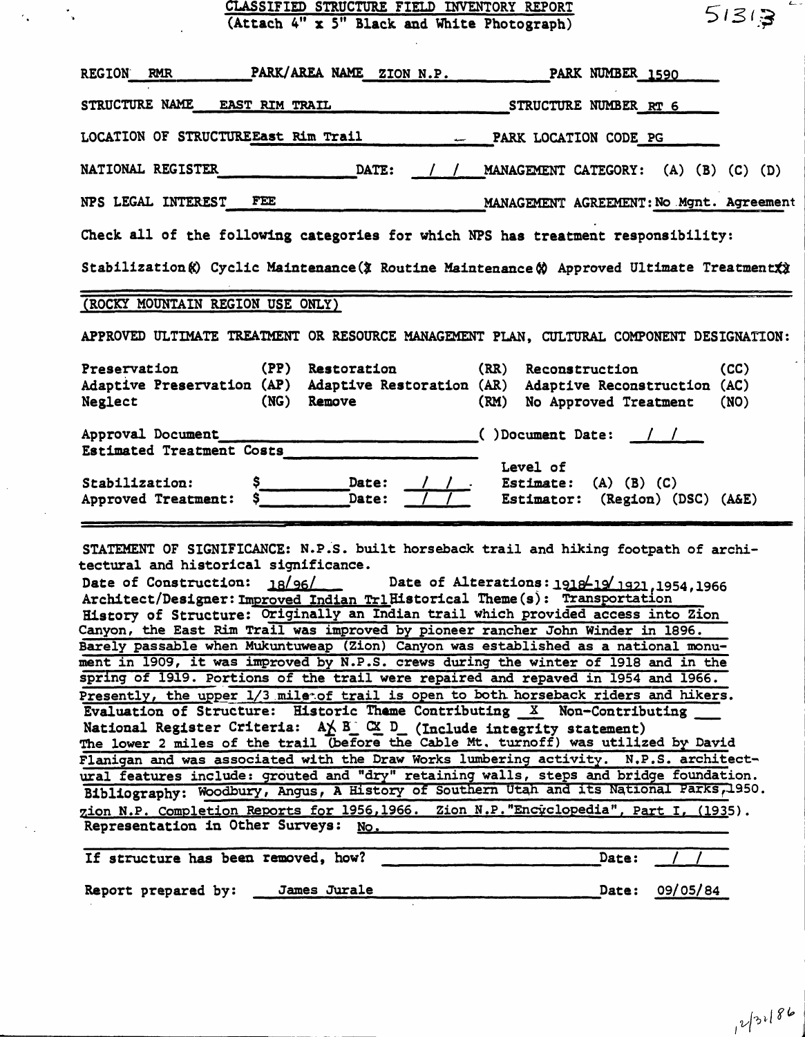|                                  | CLASSIFIED STRUCTURE FIELD INVENTORY REPORT<br>(Attach 4" x 5" Black and White Photograph)                                                                                                                                                                                                                                                                                                                                                                                      |              |                                          | 51313        |
|----------------------------------|---------------------------------------------------------------------------------------------------------------------------------------------------------------------------------------------------------------------------------------------------------------------------------------------------------------------------------------------------------------------------------------------------------------------------------------------------------------------------------|--------------|------------------------------------------|--------------|
| <b>REGION</b><br><b>RMR</b>      | PARK/AREA NAME ZION N.P. PARK NUMBER 1590                                                                                                                                                                                                                                                                                                                                                                                                                                       |              |                                          |              |
|                                  |                                                                                                                                                                                                                                                                                                                                                                                                                                                                                 |              |                                          |              |
|                                  |                                                                                                                                                                                                                                                                                                                                                                                                                                                                                 |              |                                          |              |
| <b>NATIONAL REGISTER</b>         | $\overline{\phantom{a}}$ $\overline{\phantom{a}}$ $\overline{\phantom{a}}$ $\overline{\phantom{a}}$ $\overline{\phantom{a}}$ $\overline{\phantom{a}}$ $\overline{\phantom{a}}$ $\overline{\phantom{a}}$ $\overline{\phantom{a}}$ $\overline{\phantom{a}}$ $\overline{\phantom{a}}$ $\overline{\phantom{a}}$ $\overline{\phantom{a}}$ $\overline{\phantom{a}}$ $\overline{\phantom{a}}$ $\overline{\phantom{a}}$ $\overline{\phantom{a}}$ $\overline{\phantom{a}}$ $\overline{\$ |              | / / MANAGEMENT CATEGORY: (A) (B) (C) (D) |              |
| NPS LEGAL INTEREST FEE           |                                                                                                                                                                                                                                                                                                                                                                                                                                                                                 |              | MANAGEMENT AGREEMENT: No Mgnt. Agreement |              |
|                                  | Check all of the following categories for which NPS has treatment responsibility:<br>Stabilization (c) Cyclic Maintenance (3 Routine Maintenance (c) Approved Ultimate Treatment (x)                                                                                                                                                                                                                                                                                            |              |                                          |              |
| (ROCKY MOUNTAIN REGION USE ONLY) |                                                                                                                                                                                                                                                                                                                                                                                                                                                                                 |              |                                          |              |
|                                  | APPROVED ULTIMATE TREATMENT OR RESOURCE MANAGEMENT PLAN, CULTURAL COMPONENT DESIGNATION:                                                                                                                                                                                                                                                                                                                                                                                        |              |                                          |              |
| Preservation<br>Neglect          | (PP)<br>Restoration<br>Adaptive Preservation (AP) Adaptive Restoration (AR) Adaptive Reconstruction (AC)<br>(NG) Remove                                                                                                                                                                                                                                                                                                                                                         | (RR)<br>(RM) | Reconstruction<br>No Approved Treatment  | (CC)<br>(NO) |
|                                  | Approval Document<br>()Document Date: //                                                                                                                                                                                                                                                                                                                                                                                                                                        |              |                                          |              |

 $\epsilon_{\rm{sc}}$ 

 $\hat{\mathcal{A}}$ 

STATEMENT OF SIGNIFICANCE: N.P.S. built horseback trail and hiking footpath of architectural and historical significance.

| Date of Construction: 18/96/ Date of Alterations: 1918-19/1921, 1954, 1966                                                                                                     |
|--------------------------------------------------------------------------------------------------------------------------------------------------------------------------------|
| Architect/Designer: Improved Indian TrlHistorical Theme(s): Transportation                                                                                                     |
| History of Structure: Originally an Indian trail which provided access into Zion                                                                                               |
| Canyon, the East Rim Trail was improved by pioneer rancher John Winder in 1896.                                                                                                |
| Barely passable when Mukuntuweap (Zion) Canyon was established as a national monu-                                                                                             |
| ment in 1909, it was improved by N.P.S. crews during the winter of 1918 and in the                                                                                             |
| spring of 1919. Portions of the trail were repaired and repaved in 1954 and 1966.                                                                                              |
| Presently, the upper 1/3 miletof trail is open to both horseback riders and hikers.                                                                                            |
| Evaluation of Structure: Historic Theme Contributing X Non-Contributing                                                                                                        |
| National Register Criteria: $A \times B \cong C \times D$ (Include integrity statement)<br>The lower 2 miles of the trail (before the Cable Mt. turnoff) was utilized by David |
| Flanigan and was associated with the Draw Works lumbering activity. N.P.S. architect-                                                                                          |
| ural features include: grouted and "dry" retaining walls, steps and bridge foundation.                                                                                         |
| Bibliography: Woodbury, Angus, A History of Southern Utah and its National Parks, 1950.                                                                                        |
| zion N.P. Completion Reports for 1956,1966. Zion N.P. "Encyclopedia", Part I, (1935).<br>Representation in Other Surveys: No.                                                  |

| If structure has been removed, how? |  |              | Date: |          |
|-------------------------------------|--|--------------|-------|----------|
| Report prepared by:                 |  | James Jurale | Date: | 09/05/84 |